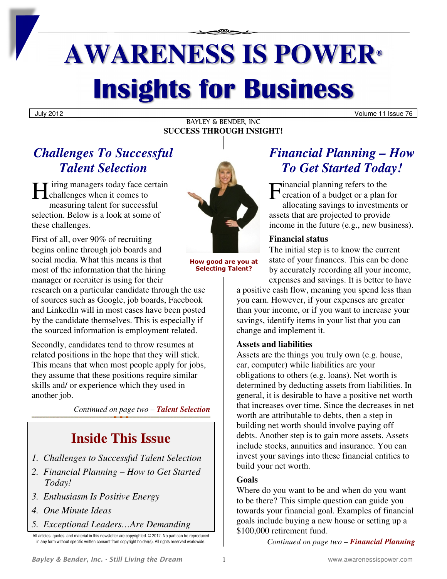# **AWARENESS IS POWER® Insights for Business**

July 2012 Volume 11 Issue 76

#### BAYLEY & BENDER, INC **SUCCESS THROUGH INSIGHT!**

## *Challenges To Successful Talent Selection*

iring managers today face certain H iring managers today face certain measuring talent for successful selection. Below is a look at some of these challenges.

First of all, over 90% of recruiting begins online through job boards and social media. What this means is that most of the information that the hiring manager or recruiter is using for their

research on a particular candidate through the use of sources such as Google, job boards, Facebook and LinkedIn will in most cases have been posted by the candidate themselves. This is especially if the sourced information is employment related.

Secondly, candidates tend to throw resumes at related positions in the hope that they will stick. This means that when most people apply for jobs, they assume that these positions require similar skills and/ or experience which they used in another job.

*Continued on page two – Talent Selection*

# **Inside This Issue**

- *1. Challenges to Successful Talent Selection*
- *2. Financial Planning How to Get Started Today!*
- *3. Enthusiasm Is Positive Energy*
- *4. One Minute Ideas*
- *5. Exceptional Leaders…Are Demanding*
- All articles, quotes, and material in this newsletter are copyrighted. © 2012. No part can be reproduced in any form without specific written consent from copyright holder(s). All rights reserved worldwide.



**How good are you at Selecting Talent?** 

### *Financial Planning – How To Get Started Today!*

inancial planning refers to the **C** creation of a budget or a plan for allocating savings to investments or assets that are projected to provide income in the future (e.g., new business).

### **Financial status**

The initial step is to know the current state of your finances. This can be done by accurately recording all your income, expenses and savings. It is better to have

a positive cash flow, meaning you spend less than you earn. However, if your expenses are greater than your income, or if you want to increase your savings, identify items in your list that you can change and implement it.

### **Assets and liabilities**

Assets are the things you truly own (e.g. house, car, computer) while liabilities are your obligations to others (e.g. loans). Net worth is determined by deducting assets from liabilities. In general, it is desirable to have a positive net worth that increases over time. Since the decreases in net worth are attributable to debts, then a step in building net worth should involve paying off debts. Another step is to gain more assets. Assets include stocks, annuities and insurance. You can invest your savings into these financial entities to build your net worth.

### **Goals**

Where do you want to be and when do you want to be there? This simple question can guide you towards your financial goal. Examples of financial goals include buying a new house or setting up a \$100,000 retirement fund.

*Continued on page two – Financial Planning*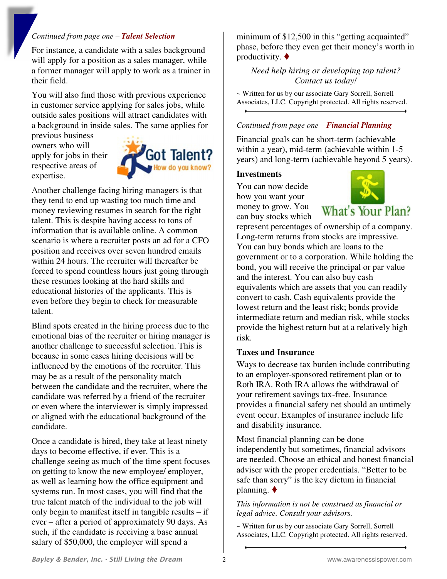#### *Continued from page one – Talent Selection*

For instance, a candidate with a sales background will apply for a position as a sales manager, while a former manager will apply to work as a trainer in their field.

You will also find those with previous experience in customer service applying for sales jobs, while outside sales positions will attract candidates with a background in inside sales. The same applies for

previous business owners who will apply for jobs in their respective areas of expertise.



Another challenge facing hiring managers is that they tend to end up wasting too much time and money reviewing resumes in search for the right talent. This is despite having access to tons of information that is available online. A common scenario is where a recruiter posts an ad for a CFO position and receives over seven hundred emails within 24 hours. The recruiter will thereafter be forced to spend countless hours just going through these resumes looking at the hard skills and educational histories of the applicants. This is even before they begin to check for measurable talent.

Blind spots created in the hiring process due to the emotional bias of the recruiter or hiring manager is another challenge to successful selection. This is because in some cases hiring decisions will be influenced by the emotions of the recruiter. This may be as a result of the personality match between the candidate and the recruiter, where the candidate was referred by a friend of the recruiter or even where the interviewer is simply impressed or aligned with the educational background of the candidate.

Once a candidate is hired, they take at least ninety days to become effective, if ever. This is a challenge seeing as much of the time spent focuses on getting to know the new employee/ employer, as well as learning how the office equipment and systems run. In most cases, you will find that the true talent match of the individual to the job will only begin to manifest itself in tangible results – if ever – after a period of approximately 90 days. As such, if the candidate is receiving a base annual salary of \$50,000, the employer will spend a

minimum of \$12,500 in this "getting acquainted" phase, before they even get their money's worth in productivity.  $\blacklozenge$ 

*Need help hiring or developing top talent? Contact us today!* 

~ Written for us by our associate Gary Sorrell, Sorrell Associates, LLC. Copyright protected. All rights reserved.

#### *Continued from page one – Financial Planning*

Financial goals can be short-term (achievable within a year), mid-term (achievable within 1-5 years) and long-term (achievable beyond 5 years).

#### **Investments**

You can now decide how you want your money to grow. You can buy stocks which



What's Your Plan?

represent percentages of ownership of a company. Long-term returns from stocks are impressive. You can buy bonds which are loans to the government or to a corporation. While holding the bond, you will receive the principal or par value and the interest. You can also buy cash equivalents which are assets that you can readily convert to cash. Cash equivalents provide the lowest return and the least risk; bonds provide intermediate return and median risk, while stocks provide the highest return but at a relatively high risk.

#### **Taxes and Insurance**

Ways to decrease tax burden include contributing to an employer-sponsored retirement plan or to Roth IRA. Roth IRA allows the withdrawal of your retirement savings tax-free. Insurance provides a financial safety net should an untimely event occur. Examples of insurance include life and disability insurance.

Most financial planning can be done independently but sometimes, financial advisors are needed. Choose an ethical and honest financial adviser with the proper credentials. "Better to be safe than sorry" is the key dictum in financial planning.  $\blacklozenge$ 

*This information is not be construed as financial or legal advice. Consult your advisors.* 

~ Written for us by our associate Gary Sorrell, Sorrell Associates, LLC. Copyright protected. All rights reserved.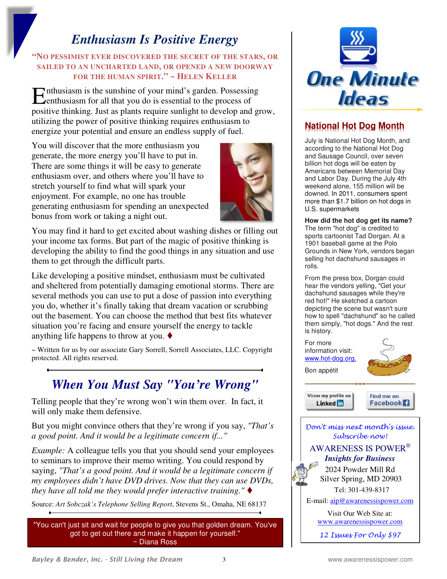### *Enthusiasm Is Positive Energy*

### **"NO PESSIMIST EVER DISCOVERED THE SECRET OF THE STARS, OR SAILED TO AN UNCHARTED LAND, OR OPENED A NEW DOORWAY FOR THE HUMAN SPIRIT." ~ HELEN KELLER**

Enthusiasm is the sunshine of your mind's garden. Possessing<br>
Lenthusiasm for all that you do is essential to the process of enthusiasm for all that you do is essential to the process of positive thinking. Just as plants require sunlight to develop and grow, utilizing the power of positive thinking requires enthusiasm to energize your potential and ensure an endless supply of fuel.

You will discover that the more enthusiasm you generate, the more energy you'll have to put in. There are some things it will be easy to generate enthusiasm over, and others where you'll have to stretch yourself to find what will spark your enjoyment. For example, no one has trouble generating enthusiasm for spending an unexpected bonus from work or taking a night out.



You may find it hard to get excited about washing dishes or filling out your income tax forms. But part of the magic of positive thinking is developing the ability to find the good things in any situation and use them to get through the difficult parts.

Like developing a positive mindset, enthusiasm must be cultivated and sheltered from potentially damaging emotional storms. There are several methods you can use to put a dose of passion into everything you do, whether it's finally taking that dream vacation or scrubbing out the basement. You can choose the method that best fits whatever situation you're facing and ensure yourself the energy to tackle anything life happens to throw at you.  $\blacklozenge$ 

~ Written for us by our associate Gary Sorrell, Sorrell Associates, LLC. Copyright protected. All rights reserved.

## *When You Must Say "You're Wrong"*

Telling people that they're wrong won't win them over. In fact, it will only make them defensive.

But you might convince others that they're wrong if you say, *"That's a good point. And it would be a legitimate concern if..."* 

*Example:* A colleague tells you that you should send your employees to seminars to improve their memo writing. You could respond by saying, *"That's a good point. And it would be a legitimate concern if my employees didn't have DVD drives. Now that they can use DVDs, they have all told me they would prefer interactive training."*

Source: *Art Sobczak's Telephone Selling Report*, Stevens St., Omaha, NE 68137

"You can't just sit and wait for people to give you that golden dream. You've got to get out there and make it happen for yourself." ~ Diana Ross



### **National Hot Dog Month**

July is National Hot Dog Month, and according to the National Hot Dog and Sausage Council, over seven billion hot dogs will be eaten by Americans between Memorial Day and Labor Day. During the July 4th weekend alone, 155 million will be downed. In 2011, consumers spent more than \$1.7 billion on hot dogs in U.S. supermarkets

**How did the hot dog get its name?**  The term "hot dog" is credited to sports cartoonist Tad Dorgan. At a 1901 baseball game at the Polo Grounds in New York, vendors began selling hot dachshund sausages in rolls.

From the press box, Dorgan could hear the vendors yelling, "Get your dachshund sausages while they're red hot!" He sketched a cartoon depicting the scene but wasn't sure how to spell "dachshund" so he called them simply, "hot dogs." And the rest is history.

For more information visit: www.hot-dog.org. Bon appétit View my profile on Find me on Linked **in Facebook** Don't miss next month's issue. Subscribe now! AWARENESS IS POWER®  *Insights for Business*  2024 Powder Mill Rd Silver Spring, MD 20903 Tel: 301-439-8317 E-mail: aip@awarenessispower.com Visit Our Web Site at: www.awarenessispower.com

12 Issues For Only \$97